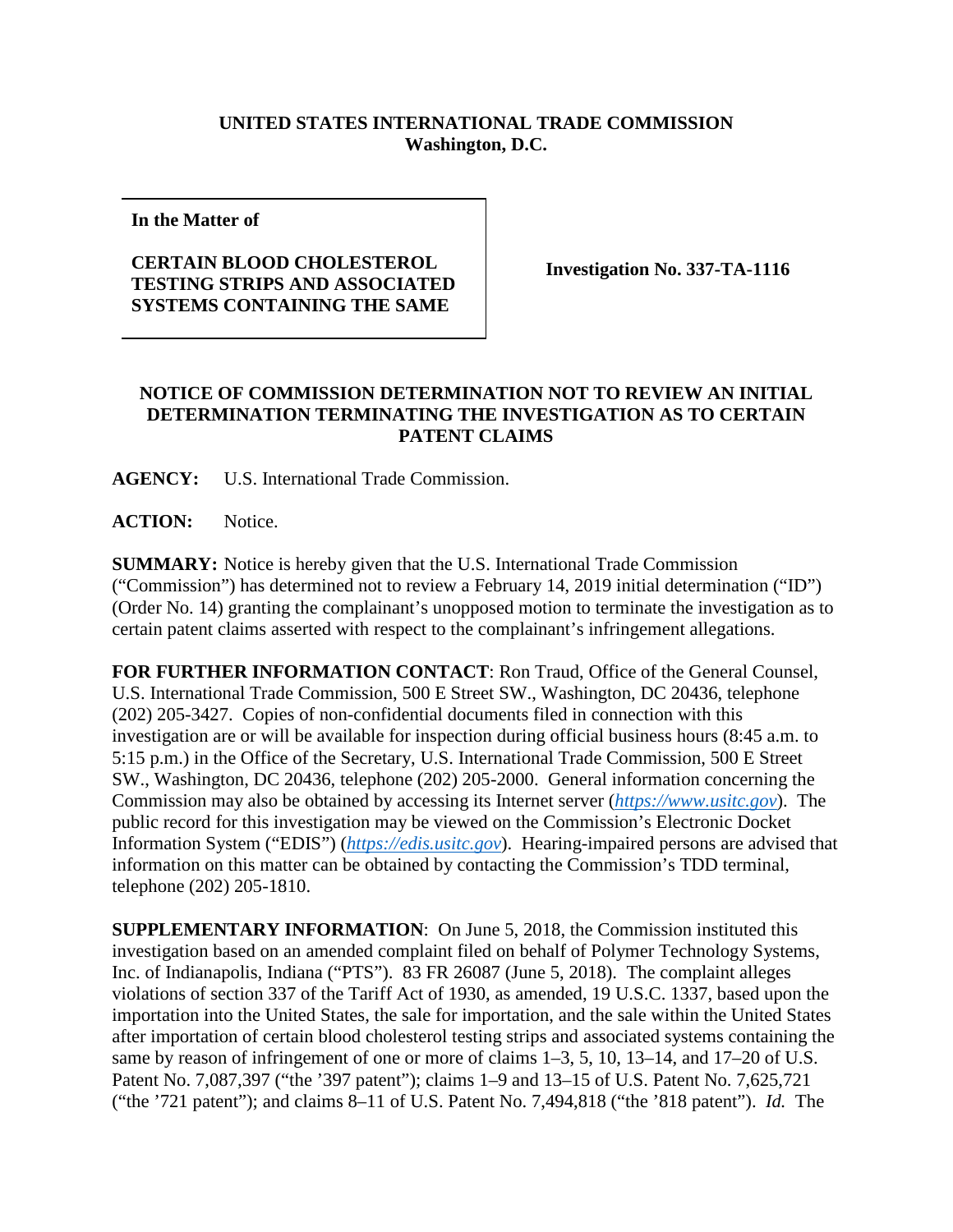## **UNITED STATES INTERNATIONAL TRADE COMMISSION Washington, D.C.**

**In the Matter of**

## **CERTAIN BLOOD CHOLESTEROL TESTING STRIPS AND ASSOCIATED SYSTEMS CONTAINING THE SAME**

**Investigation No. 337-TA-1116**

## **NOTICE OF COMMISSION DETERMINATION NOT TO REVIEW AN INITIAL DETERMINATION TERMINATING THE INVESTIGATION AS TO CERTAIN PATENT CLAIMS**

**AGENCY:** U.S. International Trade Commission.

**ACTION:** Notice.

**SUMMARY:** Notice is hereby given that the U.S. International Trade Commission ("Commission") has determined not to review a February 14, 2019 initial determination ("ID") (Order No. 14) granting the complainant's unopposed motion to terminate the investigation as to certain patent claims asserted with respect to the complainant's infringement allegations.

**FOR FURTHER INFORMATION CONTACT**: Ron Traud, Office of the General Counsel, U.S. International Trade Commission, 500 E Street SW., Washington, DC 20436, telephone (202) 205-3427. Copies of non-confidential documents filed in connection with this investigation are or will be available for inspection during official business hours (8:45 a.m. to 5:15 p.m.) in the Office of the Secretary, U.S. International Trade Commission, 500 E Street SW., Washington, DC 20436, telephone (202) 205-2000. General information concerning the Commission may also be obtained by accessing its Internet server (*[https://www.usitc.gov](https://www.usitc.gov/)*). The public record for this investigation may be viewed on the Commission's Electronic Docket Information System ("EDIS") (*[https://edis.usitc.gov](https://edis.usitc.gov/)*). Hearing-impaired persons are advised that information on this matter can be obtained by contacting the Commission's TDD terminal, telephone (202) 205-1810.

**SUPPLEMENTARY INFORMATION**: On June 5, 2018, the Commission instituted this investigation based on an amended complaint filed on behalf of Polymer Technology Systems, Inc. of Indianapolis, Indiana ("PTS"). 83 FR 26087 (June 5, 2018). The complaint alleges violations of section 337 of the Tariff Act of 1930, as amended, 19 U.S.C. 1337, based upon the importation into the United States, the sale for importation, and the sale within the United States after importation of certain blood cholesterol testing strips and associated systems containing the same by reason of infringement of one or more of claims 1–3, 5, 10, 13–14, and 17–20 of U.S. Patent No. 7,087,397 ("the '397 patent"); claims 1–9 and 13–15 of U.S. Patent No. 7,625,721 ("the '721 patent"); and claims 8–11 of U.S. Patent No. 7,494,818 ("the '818 patent"). *Id.* The